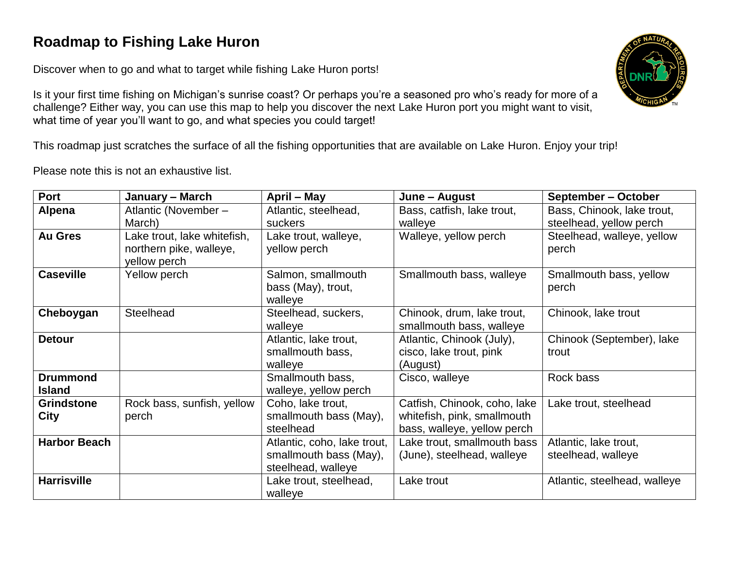## **Roadmap to Fishing Lake Huron**

Discover when to go and what to target while fishing Lake Huron ports!

Is it your first time fishing on Michigan's sunrise coast? Or perhaps you're a seasoned pro who's ready for more of a challenge? Either way, you can use this map to help you discover the next Lake Huron port you might want to visit, what time of year you'll want to go, and what species you could target!

This roadmap just scratches the surface of all the fishing opportunities that are available on Lake Huron. Enjoy your trip!

Please note this is not an exhaustive list.

| Port                             | January - March                                                        | April - May                                                                 | June - August                                                                              | September – October                                   |
|----------------------------------|------------------------------------------------------------------------|-----------------------------------------------------------------------------|--------------------------------------------------------------------------------------------|-------------------------------------------------------|
| Alpena                           | Atlantic (November -<br>March)                                         | Atlantic, steelhead,<br>suckers                                             | Bass, catfish, lake trout,<br>walleye                                                      | Bass, Chinook, lake trout,<br>steelhead, yellow perch |
| <b>Au Gres</b>                   | Lake trout, lake whitefish,<br>northern pike, walleye,<br>yellow perch | Lake trout, walleye,<br>yellow perch                                        | Walleye, yellow perch                                                                      | Steelhead, walleye, yellow<br>perch                   |
| <b>Caseville</b>                 | Yellow perch                                                           | Salmon, smallmouth<br>bass (May), trout,<br>walleye                         | Smallmouth bass, walleye                                                                   | Smallmouth bass, yellow<br>perch                      |
| Cheboygan                        | <b>Steelhead</b>                                                       | Steelhead, suckers,<br>walleye                                              | Chinook, drum, lake trout,<br>smallmouth bass, walleye                                     | Chinook, lake trout                                   |
| <b>Detour</b>                    |                                                                        | Atlantic, lake trout,<br>smallmouth bass,<br>walleye                        | Atlantic, Chinook (July),<br>cisco, lake trout, pink<br>(August)                           | Chinook (September), lake<br>trout                    |
| <b>Drummond</b><br><b>Island</b> |                                                                        | Smallmouth bass,<br>walleye, yellow perch                                   | Cisco, walleye                                                                             | Rock bass                                             |
| <b>Grindstone</b><br><b>City</b> | Rock bass, sunfish, yellow<br>perch                                    | Coho, lake trout,<br>smallmouth bass (May),<br>steelhead                    | Catfish, Chinook, coho, lake<br>whitefish, pink, smallmouth<br>bass, walleye, yellow perch | Lake trout, steelhead                                 |
| <b>Harbor Beach</b>              |                                                                        | Atlantic, coho, lake trout,<br>smallmouth bass (May),<br>steelhead, walleye | Lake trout, smallmouth bass<br>(June), steelhead, walleye                                  | Atlantic, lake trout,<br>steelhead, walleye           |
| <b>Harrisville</b>               |                                                                        | Lake trout, steelhead,<br>walleye                                           | Lake trout                                                                                 | Atlantic, steelhead, walleye                          |

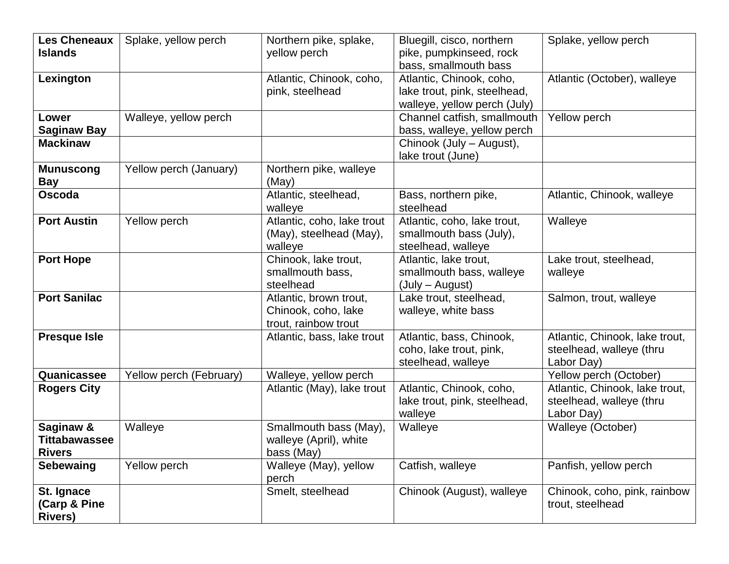| Les Cheneaux<br><b>Islands</b>                     | Splake, yellow perch    | Northern pike, splake,<br>yellow perch                                | Bluegill, cisco, northern<br>pike, pumpkinseed, rock<br>bass, smallmouth bass            | Splake, yellow perch                                                     |
|----------------------------------------------------|-------------------------|-----------------------------------------------------------------------|------------------------------------------------------------------------------------------|--------------------------------------------------------------------------|
| Lexington                                          |                         | Atlantic, Chinook, coho,<br>pink, steelhead                           | Atlantic, Chinook, coho,<br>lake trout, pink, steelhead,<br>walleye, yellow perch (July) | Atlantic (October), walleye                                              |
| Lower<br><b>Saginaw Bay</b>                        | Walleye, yellow perch   |                                                                       | Channel catfish, smallmouth<br>bass, walleye, yellow perch                               | Yellow perch                                                             |
| <b>Mackinaw</b>                                    |                         |                                                                       | Chinook (July – August),<br>lake trout (June)                                            |                                                                          |
| <b>Munuscong</b><br><b>Bay</b>                     | Yellow perch (January)  | Northern pike, walleye<br>(May)                                       |                                                                                          |                                                                          |
| <b>Oscoda</b>                                      |                         | Atlantic, steelhead,<br>walleye                                       | Bass, northern pike,<br>steelhead                                                        | Atlantic, Chinook, walleye                                               |
| <b>Port Austin</b>                                 | Yellow perch            | Atlantic, coho, lake trout<br>(May), steelhead (May),<br>walleye      | Atlantic, coho, lake trout,<br>smallmouth bass (July),<br>steelhead, walleye             | Walleye                                                                  |
| <b>Port Hope</b>                                   |                         | Chinook, lake trout,<br>smallmouth bass,<br>steelhead                 | Atlantic, lake trout,<br>smallmouth bass, walleye<br>(July – August)                     | Lake trout, steelhead,<br>walleye                                        |
| <b>Port Sanilac</b>                                |                         | Atlantic, brown trout,<br>Chinook, coho, lake<br>trout, rainbow trout | Lake trout, steelhead,<br>walleye, white bass                                            | Salmon, trout, walleye                                                   |
| <b>Presque Isle</b>                                |                         | Atlantic, bass, lake trout                                            | Atlantic, bass, Chinook,<br>coho, lake trout, pink,<br>steelhead, walleye                | Atlantic, Chinook, lake trout,<br>steelhead, walleye (thru<br>Labor Day) |
| Quanicassee                                        | Yellow perch (February) | Walleye, yellow perch                                                 |                                                                                          | Yellow perch (October)                                                   |
| <b>Rogers City</b>                                 |                         | Atlantic (May), lake trout                                            | Atlantic, Chinook, coho,<br>lake trout, pink, steelhead,<br>walleye                      | Atlantic, Chinook, lake trout,<br>steelhead, walleye (thru<br>Labor Day) |
| Saginaw &<br><b>Tittabawassee</b><br><b>Rivers</b> | Walleye                 | Smallmouth bass (May),<br>walleye (April), white<br>bass (May)        | Walleye                                                                                  | Walleye (October)                                                        |
| Sebewaing                                          | Yellow perch            | Walleye (May), yellow<br>perch                                        | Catfish, walleye                                                                         | Panfish, yellow perch                                                    |
| St. Ignace<br>(Carp & Pine<br><b>Rivers)</b>       |                         | Smelt, steelhead                                                      | Chinook (August), walleye                                                                | Chinook, coho, pink, rainbow<br>trout, steelhead                         |